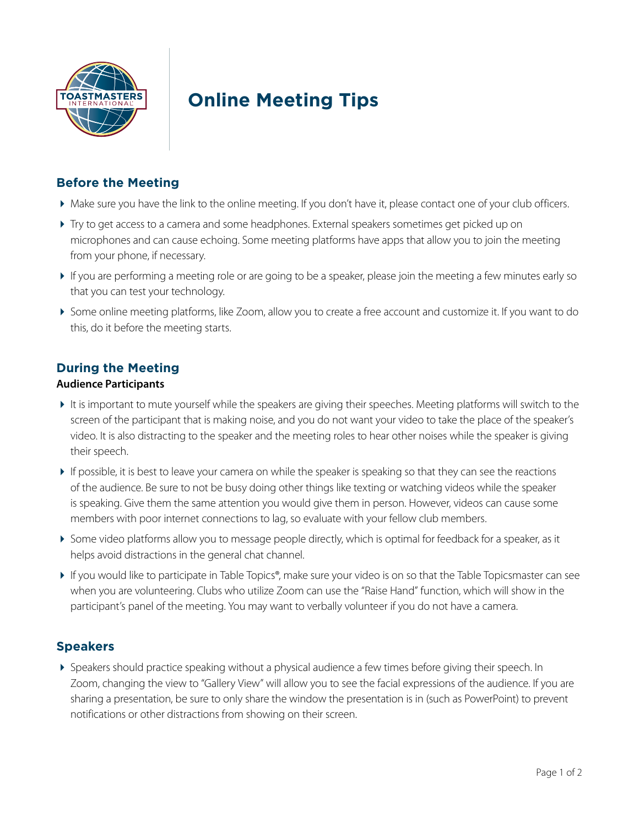

# **Online Meeting Tips**

### **Before the Meeting**

- Make sure you have the link to the online meeting. If you don't have it, please contact one of your club officers.
- Try to get access to a camera and some headphones. External speakers sometimes get picked up on microphones and can cause echoing. Some meeting platforms have apps that allow you to join the meeting from your phone, if necessary.
- If you are performing a meeting role or are going to be a speaker, please join the meeting a few minutes early so that you can test your technology.
- Some online meeting platforms, like Zoom, allow you to create a free account and customize it. If you want to do this, do it before the meeting starts.

### **During the Meeting**

#### **Audience Participants**

- It is important to mute yourself while the speakers are giving their speeches. Meeting platforms will switch to the screen of the participant that is making noise, and you do not want your video to take the place of the speaker's video. It is also distracting to the speaker and the meeting roles to hear other noises while the speaker is giving their speech.
- If possible, it is best to leave your camera on while the speaker is speaking so that they can see the reactions of the audience. Be sure to not be busy doing other things like texting or watching videos while the speaker is speaking. Give them the same attention you would give them in person. However, videos can cause some members with poor internet connections to lag, so evaluate with your fellow club members.
- Some video platforms allow you to message people directly, which is optimal for feedback for a speaker, as it helps avoid distractions in the general chat channel.
- If you would like to participate in Table Topics®, make sure your video is on so that the Table Topicsmaster can see when you are volunteering. Clubs who utilize Zoom can use the "Raise Hand" function, which will show in the participant's panel of the meeting. You may want to verbally volunteer if you do not have a camera.

#### **Speakers**

 Speakers should practice speaking without a physical audience a few times before giving their speech. In Zoom, changing the view to "Gallery View" will allow you to see the facial expressions of the audience. If you are sharing a presentation, be sure to only share the window the presentation is in (such as PowerPoint) to prevent notifications or other distractions from showing on their screen.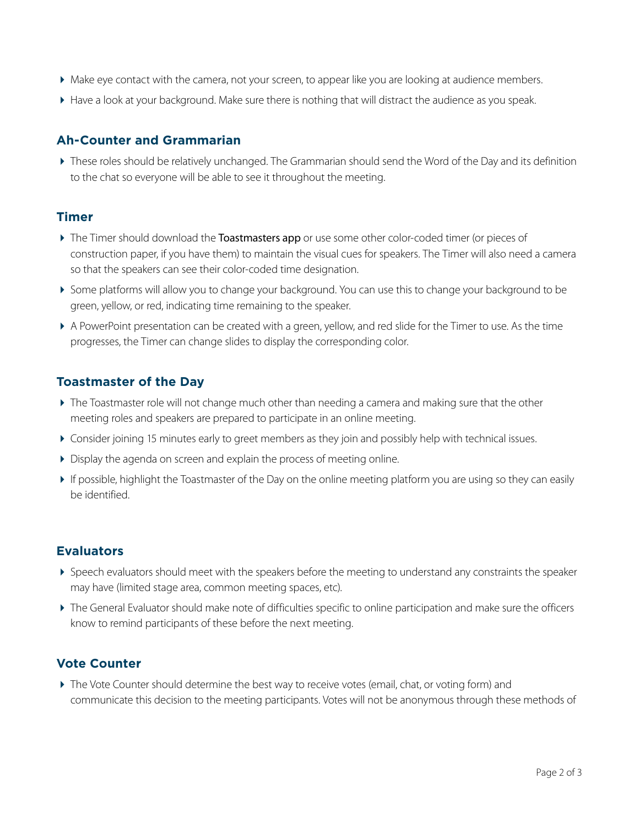- Make eye contact with the camera, not your screen, to appear like you are looking at audience members.
- Have a look at your background. Make sure there is nothing that will distract the audience as you speak.

## **Ah-Counter and Grammarian**

 These roles should be relatively unchanged. The Grammarian should send the Word of the Day and its definition to the chat so everyone will be able to see it throughout the meeting.

#### **Timer**

- The Timer should download the **[Toastmasters app](http://bit.ly/TI_App)** or use some other color-coded timer (or pieces of construction paper, if you have them) to maintain the visual cues for speakers. The Timer will also need a camera so that the speakers can see their color-coded time designation.
- Some platforms will allow you to change your background. You can use this to change your background to be green, yellow, or red, indicating time remaining to the speaker.
- A PowerPoint presentation can be created with a green, yellow, and red slide for the Timer to use. As the time progresses, the Timer can change slides to display the corresponding color.

## **Toastmaster of the Day**

- The Toastmaster role will not change much other than needing a camera and making sure that the other meeting roles and speakers are prepared to participate in an online meeting.
- Consider joining 15 minutes early to greet members as they join and possibly help with technical issues.
- Display the agenda on screen and explain the process of meeting online.
- If possible, highlight the Toastmaster of the Day on the online meeting platform you are using so they can easily be identified.

## **Evaluators**

- Speech evaluators should meet with the speakers before the meeting to understand any constraints the speaker may have (limited stage area, common meeting spaces, etc).
- The General Evaluator should make note of difficulties specific to online participation and make sure the officers know to remind participants of these before the next meeting.

## **Vote Counter**

 The Vote Counter should determine the best way to receive votes (email, chat, or voting form) and communicate this decision to the meeting participants. Votes will not be anonymous through these methods of